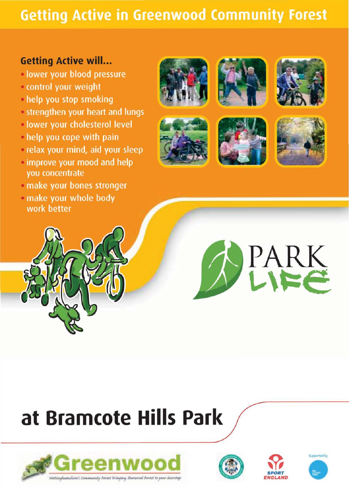## **Getting Active in Greenwood Community Forest**

### **Getting Active will...**

- · lower your blood pressure
- · control your weight
- help you stop smoking
- · strengthen your heart and lungs
- · lower your cholesterol level
- . help you cope with pain
- · relax your mind, aid your sleep
- . improve your mood and help you concentrate
- · make your bones stronger
- · make your whole body work better















# at Bramcote Hills Park







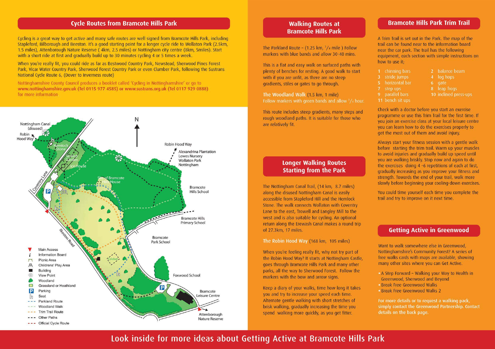

Cycling is a great way to get active and many safe routes are well signed from Bramcote Hills Park, including Stapleford, Bilborough and Beeston. It's a good starting point for a longer cycle ride to Wollaton Park (2.5km, 1.5 miles), Attenborough Nature Reserve ( 4km, 2.5 miles) or Nottingham city centre (8km, Smiles). Start with a short ride at first and gradually build up to 30 minutes cycling 4 or 5 times a week.

#### **Cycle Routes from Bramcote Hills Park**

The Parkland Route - (1.25 km,  $3/4$  mile) Follow markers with blue bands and allow 30-40 mins.

When you're really fit, you could ride as far as Bestwood Country Park, Newstead, Sherwood Pines Forest Park, Vicar Water Country Park, Sherwood Forest Country Park or even Clumber Park, following the Sustrans National Cycle Route 6, (Dover to Inverness route)

> When you're feeling really fit, why not try part of the Robin Hood Way? It starts at Nottingham Castle, goes through Bramcote Hills Park and many other parks, all the way to Sherwood Forest. Follow the markers with the bow and arrow signs.

Nottinghamshire County Council produces a booklet called 'Cycling in Nottinghamshire' or go to www.nottinghamshire.gov.uk (Tel 0115 977 4585) or www.sustrans.org.uk (Tel 0117 929 0888) for more information

#### **Walking Routes at Bramcote Hills Park**

This is a flat and easy walk on surfaced paths with plenty of benches for resting. A good walk to start with if you are unfit, as there are no steep gradients, stiles or gates to go through.

The Woodland Walk (1.5 km, 1 mile) Follow markers with green bands and allow  $\frac{3}{4}$  hour.

This route includes steep gradients, many steps and rough woodland paths. It is suitable for those who are relatively fit.

#### **Longer Walking Routes Starting from the Park**

The Nottingham Canal Trail, ( 14 km, 8.7 miles) along the disused Nottingham Canal is easily accessible from Stapleford Hill and the Hemlock Stone. The walk connects Wollaton with Coventry Lane to the east, Trowell and Langley Mill to the west and is also suitable for cycling. An optional return along the Erewash Canal makes a round trip of 27.3km, 17 miles.

The Robin Hood Way (168 km, 105 miles)

Keep a diary of your walks, time how long it takes you and try to increase your speed each time. Alternate gentle walking with short stretches of brisk walking, gradually increasing the time you spend walking more quickly, as you get fitter.

#### **Bramcote Hills Park Trim Trail**

A Trim Trail is set out in the Park. The map of the trail can be found near to the information board near the car park. The trail has the following equipment, each section with simple instructions on how to use it;

- 1 chinning bars
- 3 stride jumps
- 5 horizontal bar
- 7 step ups
- 9 parallel bars
- 11 bench sit ups
- 2 balance beam
- 4 log hops
- 6 gate
- 8 leap frogs
- 10 inclined press-ups

Check with a doctor before you start an exercise programme or use this Trim Trail for the first time. If you join an exercise class at your local leisure centre you can learn how to do the exercises properly to get the most out of them and avoid injury.

Always start your fitness session with a gentle walk before starting the trim trail. Warm up your muscles to avoid injuries and gradually build up speed until you are walking briskly. Stop now and again to do the exercises doing 4 -6 repetitions of each at first, gradually increasing as you improve your fitness and strength. Towards the end of your trail, walk more slowly before beginning your cooling-down exercises.

You could time yourself each time you complete the trail and try to improve on it next time.

#### **Getting Active in Greenwood**

Want to walk somewhere else in Greenwood, Nottinghamshire's Community Forest? A series of free walks cards with maps are available, showing many other sites where you can Get Active.

- A Step Forward Walking your Way to Health in Greenwood, Sherwood and Beyond
- Break Free Greenwood Walks
- Break Free Greenwood Walks 2

For more details or to request a walking pack, simply contact the Greenwood Partnership. Contact details on the back page.

**Look inside for more ideas about Getting Active at Bramcote Hills Park**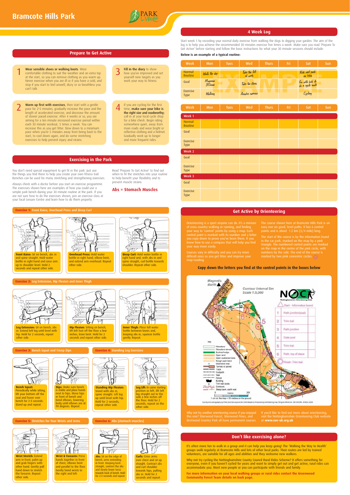

**Wrist & Forearm:** Press hands together in front of chest, elbows bent and parallel to the floor. Gently bend wrists to the right and left.

#### **4 Week Log**

#### **Prepare to Get Active**

Start week 1 by recording your normal daily exercise from walking the dogs to digging your garden. The aim of the log is to help you achieve the recommended 30 minutes exercise five times a week. Make sure you read 'Prepare To Get Active' before starting and follow the basic instructions for what your 30 minute sessions should include.

**1** Wear sensible shoes or walking boots. Wear<br>
comfortable clothing to suit the weather and an extra top<br>
at the start, se you san sensoye slothing as you wasney at the start, so you can remove clothing as you warm up. Never exercise when you are ill or if you have a cold, and stop if you start to feel unwell, dizzy or so breathless you can't talk.

#### **Below is an example of a typical routine:**

**2** Warm up first with exercises, then start with a gentle<br>pace for 2-5 minutes, gradually increase the pace and the<br>loogth of accelerated exercise, and decrease the amount length of accelerated exercise, and decrease the amount of slower paced exercise. After 4 weeks or so, you are aiming for a ten minute increased exercise period within each 30 minute workout, 5 times a week. You can increase this as you get fitter. Slow down to a minimum pace when you're 5 minutes away from being back to the start, to cool down again, and do some stretching exercises to help prevent injury and strains.

**3** Fill in the diary to show<br>how you've improved and set yourself new targets as you work your way to fitness.

4 If you are cycling for the first<br>time, **make sure your bike is**<br>the sight size and readwarthy. the right size and roadworthy; call in at your local cycle shop for a bike check. Begin riding somewhere quiet, away from main roads and wear bright or reflective clothing and a helmet. Gradually work up to longer and more frequent rides.

#### **Exercising in the Park**

- of cross country walking or running, and finding Orienteering is a sport anyone can do. It's a mixture your way to 'control' points by using a map. Each control point is marked with its number and a letter you copy down to prove you've been there. If you know how to use a compass that will help you find your way more easily.

You don't need special equipment to get fit in the park. Just use the things you find there to help you create your own fitness trail. Benches can be used for many stretching and strengthening exercises.

> The start of the course is by the information board in the car park, marked on the map by a pink triangle. The numbered control points are marked on the map in the centre of the pink circle, with numbers by the side. The end of the course is marked by two pink concentric circles.  $\bigcap$

Always check with a doctor before you start an exercise programme. The exercises shown here are examples of how you could use a simple park bench during your 30 minute routine at the park. If you are not sure how to do the exercises shown, join an exercise class at your local Leisure Centre and learn how to do them properly.

> **Bicep Curl: Hold water bottle in** right hand and, with abs in and spine straight, curl bottle towards

Read 'Prepare To Get Active' to find out when to fit the stretches into your routine to help benefit your flexibility and to

prevent muscle strains.

**Abs = Stomach Muscles** 

Courses vary in difficulty and you can try more difficult ones as you get fitter and improve your map-reading.

| Week                    | Mon | <b>Tues</b> | Wed | <b>Thurs</b> | Fri | Sat | Sun |
|-------------------------|-----|-------------|-----|--------------|-----|-----|-----|
| Week 1                  |     |             |     |              |     |     |     |
| Normal<br>Routine       |     |             |     |              |     |     |     |
| Goal                    |     |             |     |              |     |     |     |
| <b>Exercise</b><br>Type |     |             |     |              |     |     |     |
| Week 2                  |     |             |     |              |     |     |     |
| Goal                    |     |             |     |              |     |     |     |
| <b>Exercise</b><br>Type |     |             |     |              |     |     |     |
| Week 3                  |     |             |     |              |     |     |     |
| Goal                    |     |             |     |              |     |     |     |
| <b>Exercise</b><br>Type |     |             |     |              |     |     |     |

The course shown here at Bramcote Hills Park is an easy one on good, level paths. It has 6 control points and is about 1.2 km (3/4 mile) long.

#### **Get Active by Orienteering**

**Front Raise:** Sit on bench, abs in and spine straight. Hold water bottle in right hand and raise arm



Why not try another orienteering course if you enjoyed this one? Sherwood Forest, Sherwood Pines, and Bestwood Country Park all have permanent courses.

| <b>Week</b>                    | <b>Mon</b>        | Tues | Wed                      | <b>Thurs</b> | Fri | Sat                                | Sun |
|--------------------------------|-------------------|------|--------------------------|--------------|-----|------------------------------------|-----|
| Normal<br>Routine              | Walk the dog      |      | Take the lift<br>at work |              |     | Kids visit park<br>The on bikes    |     |
| Goal                           | Minimum<br>30mins |      | Take the stairs          |              |     | Go with kids &<br>do a cycle route |     |
| <b>Exercise</b><br><b>Type</b> | Walking           |      | Aerobic exercise         |              |     | Cycling                            |     |

If you'd like to find out more about orienteering, visit the Nottinghamshire Orienteering Club website at **www.noc-uk.org.uk** 

#### **Copy down the letters you find at the control points in the boxes below**



**Overhead Press:** Hold water bottle in right hand, elbow bent, and extend arm overhead. Repeat



other side.

shoulder. Repeat other side.

#### **Exercise 1:** Front Raise, Overhead Press and Bicep Curl





#### **Exercise 2:** Leg Extension, Hip Flexion and Inner Thigh



**Wrist Stretch:** Extend arm in front, palm up and grab fingers with other hand. Gently pull hand down to stretch the forearm. Repeat other side.

**Abs:** Sit on the edge of bench, arms extending in front. Keeping back straight, contract the abs and slowly lower torso towards back of bench. Hold for 2-3 seconds and repeat.



**Curls:** Cross arms over chest and sit up straight. Contract abs and curl shoulder towards hips, pulling abs in. Hold for 2 seconds and repeat.

It's often more fun to walk in a group and it can help you keep going! The 'Walking the Way to Health' groups walk regularly at Bramcote Hills and lots of other local parks. Their routes are led by trained volunteers, are suitable for all ages and abilities and they welcome new walkers.

Why not try cycling the Nottinghamshire County Council Rural Rides Scheme? It offers something for everyone, even if you haven't cycled for years and want to simply get out and get active, rural rides can accommodate you. Meet new people or you can participate with friends and family.

**For more information on your local walking groups or rural rides contact the Greenwood Community Forest Team details on back page.** 

#### **Don't like exercising alone?**